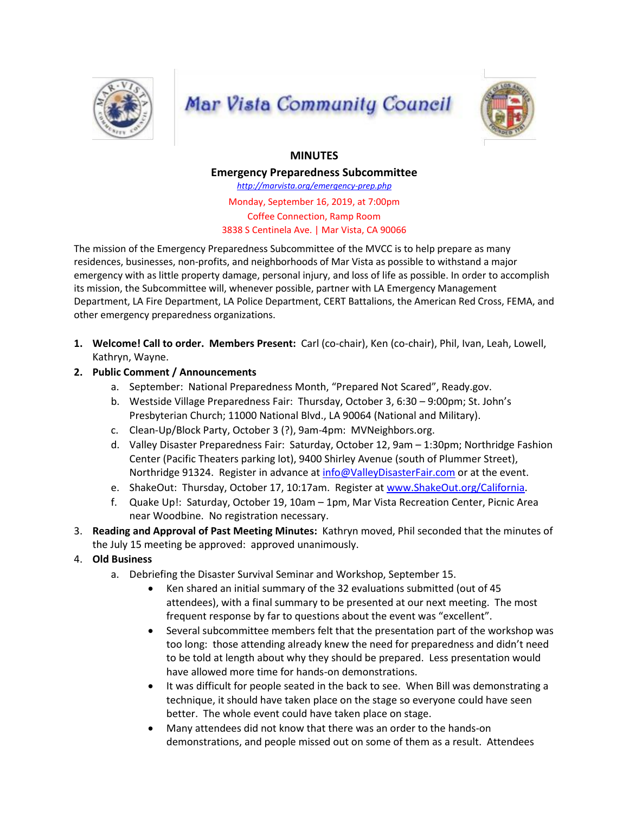

## **Mar Vista Community Council**



## **MINUTES**

**Emergency Preparedness Subcommittee**

*http://marvista.org/emergency-prep.php*

Monday, September 16, 2019, at 7:00pm Coffee Connection, Ramp Room 3838 S Centinela Ave. | Mar Vista, CA 90066

The mission of the Emergency Preparedness Subcommittee of the MVCC is to help prepare as many residences, businesses, non-profits, and neighborhoods of Mar Vista as possible to withstand a major emergency with as little property damage, personal injury, and loss of life as possible. In order to accomplish its mission, the Subcommittee will, whenever possible, partner with LA Emergency Management Department, LA Fire Department, LA Police Department, CERT Battalions, the American Red Cross, FEMA, and other emergency preparedness organizations.

- **1. Welcome! Call to order. Members Present:** Carl (co-chair), Ken (co-chair), Phil, Ivan, Leah, Lowell, Kathryn, Wayne.
- **2. Public Comment / Announcements**
	- a. September: National Preparedness Month, "Prepared Not Scared", Ready.gov.
	- b. Westside Village Preparedness Fair: Thursday, October 3, 6:30 9:00pm; St. John's Presbyterian Church; 11000 National Blvd., LA 90064 (National and Military).
	- c. Clean-Up/Block Party, October 3 (?), 9am-4pm: MVNeighbors.org.
	- d. Valley Disaster Preparedness Fair: Saturday, October 12, 9am 1:30pm; Northridge Fashion Center (Pacific Theaters parking lot), 9400 Shirley Avenue (south of Plummer Street), Northridge 91324. Register in advance at [info@ValleyDisasterFair.com](mailto:info@ValleyDisasterFair.com) or at the event.
	- e. ShakeOut: Thursday, October 17, 10:17am. Register at [www.ShakeOut.org/California.](http://www.shakeout.org/California)
	- f. Quake Up!: Saturday, October 19, 10am 1pm, Mar Vista Recreation Center, Picnic Area near Woodbine. No registration necessary.
- 3. **Reading and Approval of Past Meeting Minutes:** Kathryn moved, Phil seconded that the minutes of the July 15 meeting be approved: approved unanimously.
- 4. **Old Business**
	- a. Debriefing the Disaster Survival Seminar and Workshop, September 15.
		- Ken shared an initial summary of the 32 evaluations submitted (out of 45 attendees), with a final summary to be presented at our next meeting. The most frequent response by far to questions about the event was "excellent".
		- Several subcommittee members felt that the presentation part of the workshop was too long: those attending already knew the need for preparedness and didn't need to be told at length about why they should be prepared. Less presentation would have allowed more time for hands-on demonstrations.
		- It was difficult for people seated in the back to see. When Bill was demonstrating a technique, it should have taken place on the stage so everyone could have seen better. The whole event could have taken place on stage.
		- Many attendees did not know that there was an order to the hands-on demonstrations, and people missed out on some of them as a result. Attendees